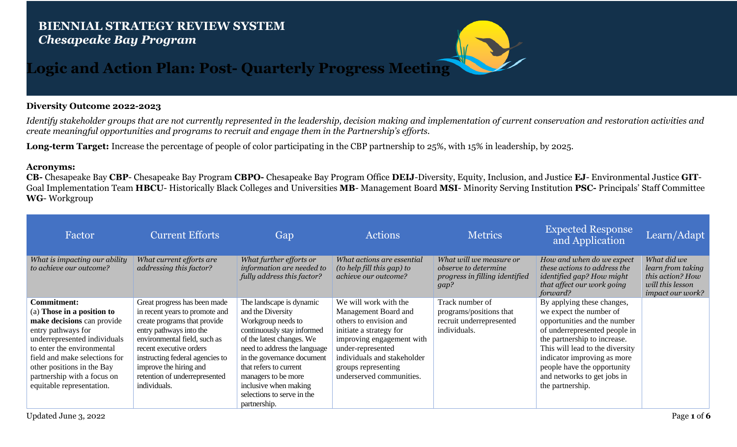## **BIENNIAL STRATEGY REVIEW SYSTEM** *Chesapeake Bay Program*



## **Logic and Action Plan: Post- Quarterly Progress Meeting**

## **Diversity Outcome 2022-2023**

*Identify stakeholder groups that are not currently represented in the leadership, decision making and implementation of current conservation and restoration activities and create meaningful opportunities and programs to recruit and engage them in the Partnership's efforts.*

**Long-term Target:** Increase the percentage of people of color participating in the CBP partnership to 25%, with 15% in leadership, by 2025.

## **Acronyms:**

**CB-** Chesapeake Bay **CBP**- Chesapeake Bay Program **CBPO-** Chesapeake Bay Program Office **DEIJ**-Diversity, Equity, Inclusion, and Justice **EJ**- Environmental Justice **GIT**-Goal Implementation Team **HBCU**- Historically Black Colleges and Universities **MB**- Management Board **MSI**- Minority Serving Institution **PSC-** Principals' Staff Committee **WG**- Workgroup

| Factor                                                                                                                                                                                                                                                                                        | <b>Current Efforts</b>                                                                                                                                                                                                                                                                             | Gap                                                                                                                                                                                                                                                                                                                  | <b>Actions</b>                                                                                                                                                                                                                         | <b>Metrics</b>                                                                            | <b>Expected Response</b><br>and Application                                                                                                                                                                                                                                                                | Learn/Adapt                                                                                  |
|-----------------------------------------------------------------------------------------------------------------------------------------------------------------------------------------------------------------------------------------------------------------------------------------------|----------------------------------------------------------------------------------------------------------------------------------------------------------------------------------------------------------------------------------------------------------------------------------------------------|----------------------------------------------------------------------------------------------------------------------------------------------------------------------------------------------------------------------------------------------------------------------------------------------------------------------|----------------------------------------------------------------------------------------------------------------------------------------------------------------------------------------------------------------------------------------|-------------------------------------------------------------------------------------------|------------------------------------------------------------------------------------------------------------------------------------------------------------------------------------------------------------------------------------------------------------------------------------------------------------|----------------------------------------------------------------------------------------------|
| What is impacting our ability<br>to achieve our outcome?                                                                                                                                                                                                                                      | What current efforts are<br>addressing this factor?                                                                                                                                                                                                                                                | What further efforts or<br>information are needed to<br>fully address this factor?                                                                                                                                                                                                                                   | What actions are essential<br>(to help fill this gap) to<br>achieve our outcome?                                                                                                                                                       | What will we measure or<br>observe to determine<br>progress in filling identified<br>gap? | How and when do we expect<br>these actions to address the<br>identified gap? How might<br>that affect our work going<br>forward?                                                                                                                                                                           | What did we<br>learn from taking<br>this action? How<br>will this lesson<br>impact our work? |
| <b>Commitment:</b><br>(a) Those in a position to<br>make decisions can provide<br>entry pathways for<br>underrepresented individuals<br>to enter the environmental<br>field and make selections for<br>other positions in the Bay<br>partnership with a focus on<br>equitable representation. | Great progress has been made<br>in recent years to promote and<br>create programs that provide<br>entry pathways into the<br>environmental field, such as<br>recent executive orders<br>instructing federal agencies to<br>improve the hiring and<br>retention of underrepresented<br>individuals. | The landscape is dynamic<br>and the Diversity<br>Workgroup needs to<br>continuously stay informed<br>of the latest changes. We<br>need to address the language<br>in the governance document<br>that refers to current<br>managers to be more<br>inclusive when making<br>selections to serve in the<br>partnership. | We will work with the<br>Management Board and<br>others to envision and<br>initiate a strategy for<br>improving engagement with<br>under-represented<br>individuals and stakeholder<br>groups representing<br>underserved communities. | Track number of<br>programs/positions that<br>recruit underrepresented<br>individuals.    | By applying these changes,<br>we expect the number of<br>opportunities and the number<br>of underrepresented people in<br>the partnership to increase.<br>This will lead to the diversity<br>indicator improving as more<br>people have the opportunity<br>and networks to get jobs in<br>the partnership. |                                                                                              |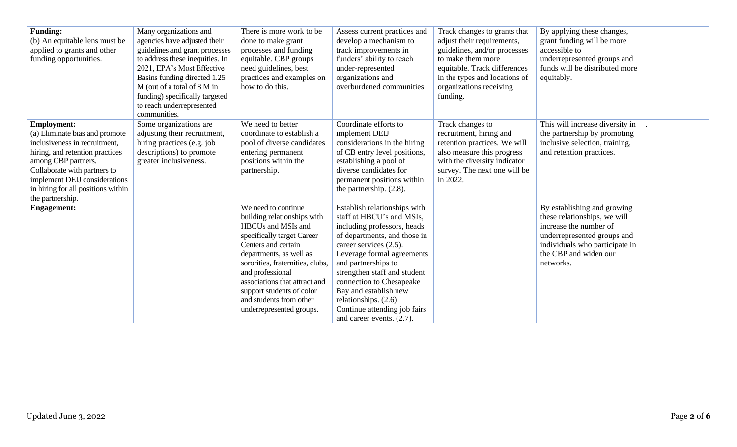| <b>Funding:</b><br>(b) An equitable lens must be<br>applied to grants and other<br>funding opportunities.                                                                                                                                                                  | Many organizations and<br>agencies have adjusted their<br>guidelines and grant processes<br>to address these inequities. In<br>2021, EPA's Most Effective<br>Basins funding directed 1.25<br>M (out of a total of 8 M in<br>funding) specifically targeted<br>to reach underrepresented<br>communities. | There is more work to be<br>done to make grant<br>processes and funding<br>equitable. CBP groups<br>need guidelines, best<br>practices and examples on<br>how to do this.                                                                                                                                                             | Assess current practices and<br>develop a mechanism to<br>track improvements in<br>funders' ability to reach<br>under-represented<br>organizations and<br>overburdened communities.                                                                                                                                                                                               | Track changes to grants that<br>adjust their requirements,<br>guidelines, and/or processes<br>to make them more<br>equitable. Track differences<br>in the types and locations of<br>organizations receiving<br>funding. | By applying these changes,<br>grant funding will be more<br>accessible to<br>underrepresented groups and<br>funds will be distributed more<br>equitably.                                     |  |
|----------------------------------------------------------------------------------------------------------------------------------------------------------------------------------------------------------------------------------------------------------------------------|---------------------------------------------------------------------------------------------------------------------------------------------------------------------------------------------------------------------------------------------------------------------------------------------------------|---------------------------------------------------------------------------------------------------------------------------------------------------------------------------------------------------------------------------------------------------------------------------------------------------------------------------------------|-----------------------------------------------------------------------------------------------------------------------------------------------------------------------------------------------------------------------------------------------------------------------------------------------------------------------------------------------------------------------------------|-------------------------------------------------------------------------------------------------------------------------------------------------------------------------------------------------------------------------|----------------------------------------------------------------------------------------------------------------------------------------------------------------------------------------------|--|
| <b>Employment:</b><br>(a) Eliminate bias and promote<br>inclusiveness in recruitment,<br>hiring, and retention practices<br>among CBP partners.<br>Collaborate with partners to<br>implement DEIJ considerations<br>in hiring for all positions within<br>the partnership. | Some organizations are<br>adjusting their recruitment,<br>hiring practices (e.g. job<br>descriptions) to promote<br>greater inclusiveness.                                                                                                                                                              | We need to better<br>coordinate to establish a<br>pool of diverse candidates<br>entering permanent<br>positions within the<br>partnership.                                                                                                                                                                                            | Coordinate efforts to<br>implement DEIJ<br>considerations in the hiring<br>of CB entry level positions,<br>establishing a pool of<br>diverse candidates for<br>permanent positions within<br>the partnership. $(2.8)$ .                                                                                                                                                           | Track changes to<br>recruitment, hiring and<br>retention practices. We will<br>also measure this progress<br>with the diversity indicator<br>survey. The next one will be<br>in 2022.                                   | This will increase diversity in<br>the partnership by promoting<br>inclusive selection, training,<br>and retention practices.                                                                |  |
| <b>Engagement:</b>                                                                                                                                                                                                                                                         |                                                                                                                                                                                                                                                                                                         | We need to continue<br>building relationships with<br>HBCUs and MSIs and<br>specifically target Career<br>Centers and certain<br>departments, as well as<br>sororities, fraternities, clubs,<br>and professional<br>associations that attract and<br>support students of color<br>and students from other<br>underrepresented groups. | Establish relationships with<br>staff at HBCU's and MSIs,<br>including professors, heads<br>of departments, and those in<br>career services (2.5).<br>Leverage formal agreements<br>and partnerships to<br>strengthen staff and student<br>connection to Chesapeake<br>Bay and establish new<br>relationships. (2.6)<br>Continue attending job fairs<br>and career events. (2.7). |                                                                                                                                                                                                                         | By establishing and growing<br>these relationships, we will<br>increase the number of<br>underrepresented groups and<br>individuals who participate in<br>the CBP and widen our<br>networks. |  |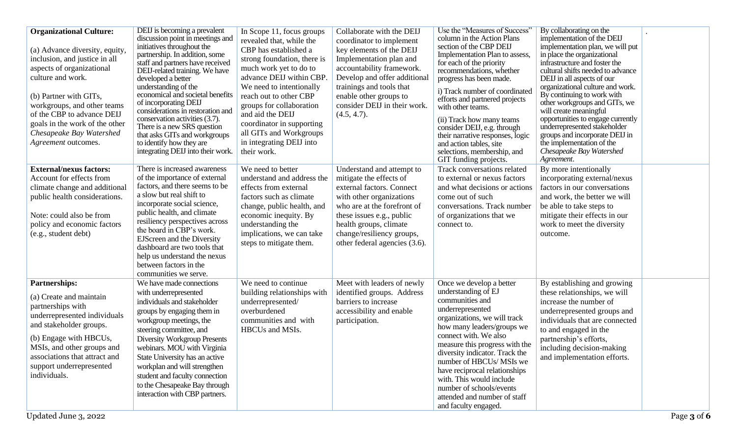| <b>Organizational Culture:</b><br>(a) Advance diversity, equity,<br>inclusion, and justice in all<br>aspects of organizational<br>culture and work.<br>(b) Partner with GITs,<br>workgroups, and other teams<br>of the CBP to advance DEIJ<br>goals in the work of the other<br>Chesapeake Bay Watershed<br>Agreement outcomes. | DEIJ is becoming a prevalent<br>discussion point in meetings and<br>initiatives throughout the<br>partnership. In addition, some<br>staff and partners have received<br>DEIJ-related training. We have<br>developed a better<br>understanding of the<br>economical and societal benefits<br>of incorporating DEIJ<br>considerations in restoration and<br>conservation activities (3.7).<br>There is a new SRS question<br>that asks GITs and workgroups<br>to identify how they are<br>integrating DEIJ into their work. | In Scope 11, focus groups<br>revealed that, while the<br>CBP has established a<br>strong foundation, there is<br>much work yet to do to<br>advance DEIJ within CBP.<br>We need to intentionally<br>reach out to other CBP<br>groups for collaboration<br>and aid the DEIJ<br>coordinator in supporting<br>all GITs and Workgroups<br>in integrating DEIJ into<br>their work. | Collaborate with the DEIJ<br>coordinator to implement<br>key elements of the DEIJ<br>Implementation plan and<br>accountability framework.<br>Develop and offer additional<br>trainings and tools that<br>enable other groups to<br>consider DEIJ in their work.<br>(4.5, 4.7). | Use the "Measures of Success"<br>column in the Action Plans<br>section of the CBP DEIJ<br>Implementation Plan to assess,<br>for each of the priority<br>recommendations, whether<br>progress has been made.<br>i) Track number of coordinated<br>efforts and partnered projects<br>with other teams.<br>(ii) Track how many teams<br>consider DEIJ, e.g. through<br>their narrative responses, logic<br>and action tables, site<br>selections, membership, and<br>GIT funding projects. | By collaborating on the<br>implementation of the DEIJ<br>implementation plan, we will put<br>in place the organizational<br>infrastructure and foster the<br>cultural shifts needed to advance<br>DEIJ in all aspects of our<br>organizational culture and work.<br>By continuing to work with<br>other workgroups and GITs, we<br>will create meaningful<br>opportunities to engage currently<br>underrepresented stakeholder<br>groups and incorporate DEIJ in<br>the implementation of the<br>Chesapeake Bay Watershed<br>Agreement. |             |
|---------------------------------------------------------------------------------------------------------------------------------------------------------------------------------------------------------------------------------------------------------------------------------------------------------------------------------|---------------------------------------------------------------------------------------------------------------------------------------------------------------------------------------------------------------------------------------------------------------------------------------------------------------------------------------------------------------------------------------------------------------------------------------------------------------------------------------------------------------------------|------------------------------------------------------------------------------------------------------------------------------------------------------------------------------------------------------------------------------------------------------------------------------------------------------------------------------------------------------------------------------|--------------------------------------------------------------------------------------------------------------------------------------------------------------------------------------------------------------------------------------------------------------------------------|-----------------------------------------------------------------------------------------------------------------------------------------------------------------------------------------------------------------------------------------------------------------------------------------------------------------------------------------------------------------------------------------------------------------------------------------------------------------------------------------|-----------------------------------------------------------------------------------------------------------------------------------------------------------------------------------------------------------------------------------------------------------------------------------------------------------------------------------------------------------------------------------------------------------------------------------------------------------------------------------------------------------------------------------------|-------------|
| <b>External/nexus factors:</b><br>Account for effects from<br>climate change and additional<br>public health considerations.<br>Note: could also be from<br>policy and economic factors<br>(e.g., student debt)                                                                                                                 | There is increased awareness<br>of the importance of external<br>factors, and there seems to be<br>a slow but real shift to<br>incorporate social science,<br>public health, and climate<br>resiliency perspectives across<br>the board in CBP's work.<br><b>EJScreen and the Diversity</b><br>dashboard are two tools that<br>help us understand the nexus<br>between factors in the<br>communities we serve.                                                                                                            | We need to better<br>understand and address the<br>effects from external<br>factors such as climate<br>change, public health, and<br>economic inequity. By<br>understanding the<br>implications, we can take<br>steps to mitigate them.                                                                                                                                      | Understand and attempt to<br>mitigate the effects of<br>external factors. Connect<br>with other organizations<br>who are at the forefront of<br>these issues e.g., public<br>health groups, climate<br>change/resiliency groups,<br>other federal agencies (3.6).              | Track conversations related<br>to external or nexus factors<br>and what decisions or actions<br>come out of such<br>conversations. Track number<br>of organizations that we<br>connect to.                                                                                                                                                                                                                                                                                              | By more intentionally<br>incorporating external/nexus<br>factors in our conversations<br>and work, the better we will<br>be able to take steps to<br>mitigate their effects in our<br>work to meet the diversity<br>outcome.                                                                                                                                                                                                                                                                                                            |             |
| <b>Partnerships:</b><br>(a) Create and maintain<br>partnerships with<br>underrepresented individuals<br>and stakeholder groups.<br>(b) Engage with HBCUs,<br>MSIs, and other groups and<br>associations that attract and<br>support underrepresented<br>individuals.<br>Updated June 3, 2022                                    | We have made connections<br>with underrepresented<br>individuals and stakeholder<br>groups by engaging them in<br>workgroup meetings, the<br>steering committee, and<br><b>Diversity Workgroup Presents</b><br>webinars. MOU with Virginia<br>State University has an active<br>workplan and will strengthen<br>student and faculty connection<br>to the Chesapeake Bay through<br>interaction with CBP partners.                                                                                                         | We need to continue<br>building relationships with<br>underrepresented/<br>overburdened<br>communities and with<br>HBCUs and MSIs.                                                                                                                                                                                                                                           | Meet with leaders of newly<br>identified groups. Address<br>barriers to increase<br>accessibility and enable<br>participation.                                                                                                                                                 | Once we develop a better<br>understanding of EJ<br>communities and<br>underrepresented<br>organizations, we will track<br>how many leaders/groups we<br>connect with. We also<br>measure this progress with the<br>diversity indicator. Track the<br>number of HBCUs/ MSIs we<br>have reciprocal relationships<br>with. This would include<br>number of schools/events<br>attended and number of staff<br>and faculty engaged.                                                          | By establishing and growing<br>these relationships, we will<br>increase the number of<br>underrepresented groups and<br>individuals that are connected<br>to and engaged in the<br>partnership's efforts,<br>including decision-making<br>and implementation efforts.                                                                                                                                                                                                                                                                   | Page 3 of 6 |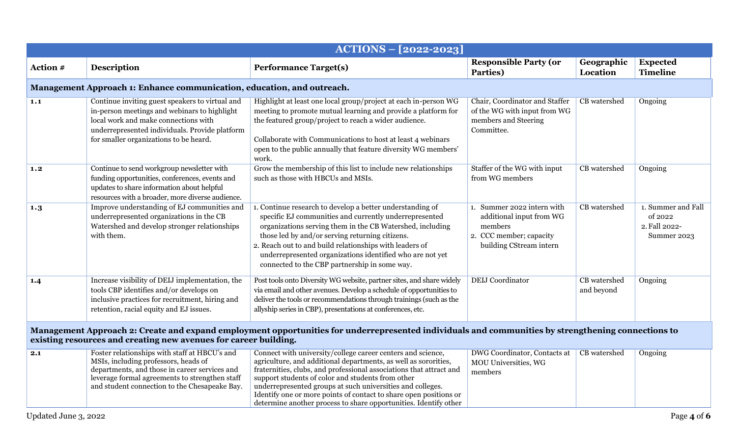| ACTIONS - [2022-2023]                                                                                                                                                                                                  |                                                                                                                                                                                                                                           |                                                                                                                                                                                                                                                                                                                                                                                                                                                                   |                                                                                                                         |                            |                                                               |  |  |
|------------------------------------------------------------------------------------------------------------------------------------------------------------------------------------------------------------------------|-------------------------------------------------------------------------------------------------------------------------------------------------------------------------------------------------------------------------------------------|-------------------------------------------------------------------------------------------------------------------------------------------------------------------------------------------------------------------------------------------------------------------------------------------------------------------------------------------------------------------------------------------------------------------------------------------------------------------|-------------------------------------------------------------------------------------------------------------------------|----------------------------|---------------------------------------------------------------|--|--|
| Action #                                                                                                                                                                                                               | <b>Description</b>                                                                                                                                                                                                                        | <b>Performance Target(s)</b>                                                                                                                                                                                                                                                                                                                                                                                                                                      | <b>Responsible Party (or</b><br>Parties)                                                                                | Geographic<br>Location     | <b>Expected</b><br><b>Timeline</b>                            |  |  |
|                                                                                                                                                                                                                        | Management Approach 1: Enhance communication, education, and outreach.                                                                                                                                                                    |                                                                                                                                                                                                                                                                                                                                                                                                                                                                   |                                                                                                                         |                            |                                                               |  |  |
| 1.1                                                                                                                                                                                                                    | Continue inviting guest speakers to virtual and<br>in-person meetings and webinars to highlight<br>local work and make connections with<br>underrepresented individuals. Provide platform<br>for smaller organizations to be heard.       | Highlight at least one local group/project at each in-person WG<br>meeting to promote mutual learning and provide a platform for<br>the featured group/project to reach a wider audience.<br>Collaborate with Communications to host at least 4 webinars<br>open to the public annually that feature diversity WG members'<br>work.                                                                                                                               | Chair, Coordinator and Staffer<br>of the WG with input from WG<br>members and Steering<br>Committee.                    | CB watershed               | Ongoing                                                       |  |  |
| 1.2                                                                                                                                                                                                                    | Continue to send workgroup newsletter with<br>funding opportunities, conferences, events and<br>updates to share information about helpful<br>resources with a broader, more diverse audience.                                            | Grow the membership of this list to include new relationships<br>such as those with HBCUs and MSIs.                                                                                                                                                                                                                                                                                                                                                               | Staffer of the WG with input<br>from WG members                                                                         | CB watershed               | Ongoing                                                       |  |  |
| 1.3                                                                                                                                                                                                                    | Improve understanding of EJ communities and<br>underrepresented organizations in the CB<br>Watershed and develop stronger relationships<br>with them.                                                                                     | 1. Continue research to develop a better understanding of<br>specific EJ communities and currently underrepresented<br>organizations serving them in the CB Watershed, including<br>those led by and/or serving returning citizens.<br>2. Reach out to and build relationships with leaders of<br>underrepresented organizations identified who are not yet<br>connected to the CBP partnership in some way.                                                      | 1. Summer 2022 intern with<br>additional input from WG<br>members<br>2. CCC member; capacity<br>building CStream intern | CB watershed               | 1. Summer and Fall<br>of 2022<br>2. Fall 2022-<br>Summer 2023 |  |  |
| 1.4                                                                                                                                                                                                                    | Increase visibility of DEIJ implementation, the<br>tools CBP identifies and/or develops on<br>inclusive practices for recruitment, hiring and<br>retention, racial equity and EJ issues.                                                  | Post tools onto Diversity WG website, partner sites, and share widely<br>via email and other avenues. Develop a schedule of opportunities to<br>deliver the tools or recommendations through trainings (such as the<br>allyship series in CBP), presentations at conferences, etc.                                                                                                                                                                                | <b>DEIJ</b> Coordinator                                                                                                 | CB watershed<br>and beyond | Ongoing                                                       |  |  |
| Management Approach 2: Create and expand employment opportunities for underrepresented individuals and communities by strengthening connections to<br>existing resources and creating new avenues for career building. |                                                                                                                                                                                                                                           |                                                                                                                                                                                                                                                                                                                                                                                                                                                                   |                                                                                                                         |                            |                                                               |  |  |
| 2.1                                                                                                                                                                                                                    | Foster relationships with staff at HBCU's and<br>MSIs, including professors, heads of<br>departments, and those in career services and<br>leverage formal agreements to strengthen staff<br>and student connection to the Chesapeake Bay. | Connect with university/college career centers and science,<br>agriculture, and additional departments, as well as sororities,<br>fraternities, clubs, and professional associations that attract and<br>support students of color and students from other<br>underrepresented groups at such universities and colleges.<br>Identify one or more points of contact to share open positions or<br>determine another process to share opportunities. Identify other | DWG Coordinator, Contacts at<br>MOU Universities, WG<br>members                                                         | CB watershed               | Ongoing                                                       |  |  |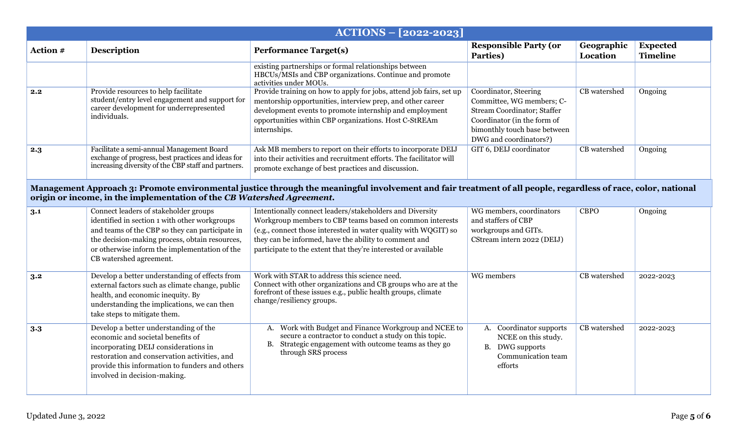| $ACTIONS - [2022-2023]$ |                                                                                                                                                                                                                                                                         |                                                                                                                                                                                                                                                                                                                    |                                                                                                                                                                            |                        |                                    |  |  |  |
|-------------------------|-------------------------------------------------------------------------------------------------------------------------------------------------------------------------------------------------------------------------------------------------------------------------|--------------------------------------------------------------------------------------------------------------------------------------------------------------------------------------------------------------------------------------------------------------------------------------------------------------------|----------------------------------------------------------------------------------------------------------------------------------------------------------------------------|------------------------|------------------------------------|--|--|--|
| Action #                | <b>Description</b>                                                                                                                                                                                                                                                      | <b>Performance Target(s)</b>                                                                                                                                                                                                                                                                                       | <b>Responsible Party (or</b><br>Parties)                                                                                                                                   | Geographic<br>Location | <b>Expected</b><br><b>Timeline</b> |  |  |  |
|                         |                                                                                                                                                                                                                                                                         | existing partnerships or formal relationships between<br>HBCUs/MSIs and CBP organizations. Continue and promote<br>activities under MOUs.                                                                                                                                                                          |                                                                                                                                                                            |                        |                                    |  |  |  |
| 2.2                     | Provide resources to help facilitate<br>student/entry level engagement and support for<br>career development for underrepresented<br>individuals.                                                                                                                       | Provide training on how to apply for jobs, attend job fairs, set up<br>mentorship opportunities, interview prep, and other career<br>development events to promote internship and employment<br>opportunities within CBP organizations. Host C-StREAm<br>internships.                                              | Coordinator, Steering<br>Committee, WG members; C-<br>Stream Coordinator; Staffer<br>Coordinator (in the form of<br>bimonthly touch base between<br>DWG and coordinators?) | CB watershed           | Ongoing                            |  |  |  |
| 2.3                     | Facilitate a semi-annual Management Board<br>exchange of progress, best practices and ideas for<br>increasing diversity of the CBP staff and partners.                                                                                                                  | Ask MB members to report on their efforts to incorporate DEIJ<br>into their activities and recruitment efforts. The facilitator will<br>promote exchange of best practices and discussion.                                                                                                                         | GIT 6, DEIJ coordinator                                                                                                                                                    | CB watershed           | Ongoing                            |  |  |  |
|                         | Management Approach 3: Promote environmental justice through the meaningful involvement and fair treatment of all people, regardless of race, color, national<br>origin or income, in the implementation of the CB Watershed Agreement.                                 |                                                                                                                                                                                                                                                                                                                    |                                                                                                                                                                            |                        |                                    |  |  |  |
| 3.1                     | Connect leaders of stakeholder groups<br>identified in section 1 with other workgroups<br>and teams of the CBP so they can participate in<br>the decision-making process, obtain resources,<br>or otherwise inform the implementation of the<br>CB watershed agreement. | Intentionally connect leaders/stakeholders and Diversity<br>Workgroup members to CBP teams based on common interests<br>(e.g., connect those interested in water quality with WQGIT) so<br>they can be informed, have the ability to comment and<br>participate to the extent that they're interested or available | WG members, coordinators<br>and staffers of CBP<br>workgroups and GITs.<br>CStream intern 2022 (DEIJ)                                                                      | <b>CBPO</b>            | Ongoing                            |  |  |  |
| 3.2                     | Develop a better understanding of effects from<br>external factors such as climate change, public<br>health, and economic inequity. By<br>understanding the implications, we can then<br>take steps to mitigate them.                                                   | Work with STAR to address this science need.<br>Connect with other organizations and CB groups who are at the<br>forefront of these issues e.g., public health groups, climate<br>change/resiliency groups.                                                                                                        | WG members                                                                                                                                                                 | CB watershed           | 2022-2023                          |  |  |  |
| 3.3                     | Develop a better understanding of the<br>economic and societal benefits of<br>incorporating DEIJ considerations in<br>restoration and conservation activities, and<br>provide this information to funders and others<br>involved in decision-making.                    | Work with Budget and Finance Workgroup and NCEE to<br>A.<br>secure a contractor to conduct a study on this topic.<br>B. Strategic engagement with outcome teams as they go<br>through SRS process                                                                                                                  | A. Coordinator supports<br>NCEE on this study.<br>B. DWG supports<br>Communication team<br>efforts                                                                         | CB watershed           | 2022-2023                          |  |  |  |